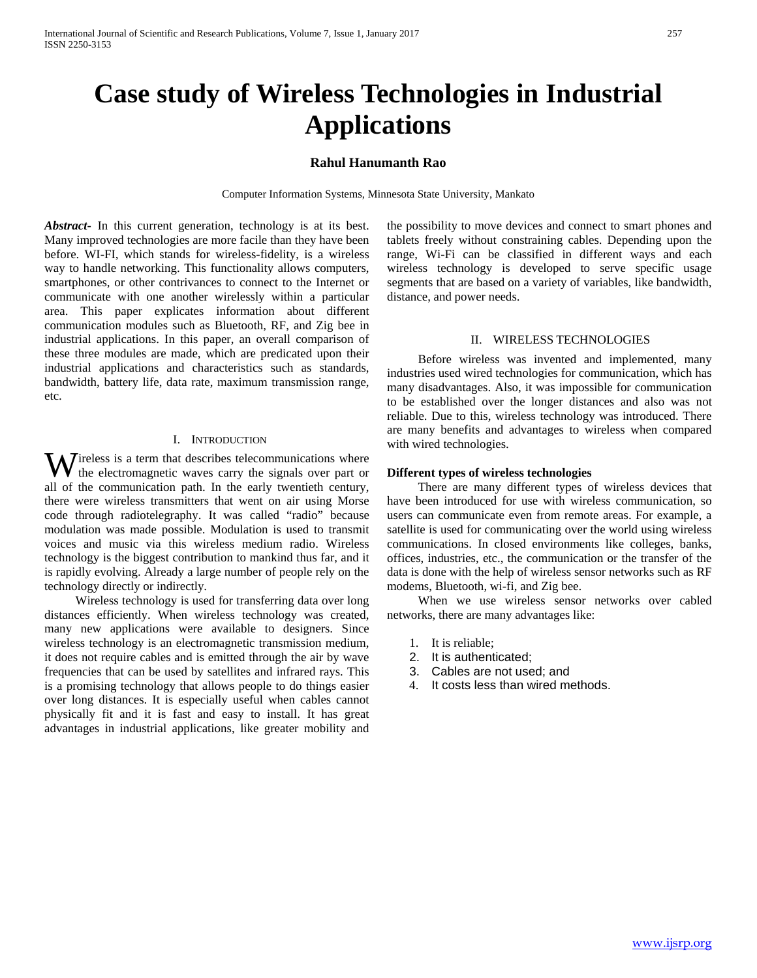# **Case study of Wireless Technologies in Industrial Applications**

# **Rahul Hanumanth Rao**

Computer Information Systems, Minnesota State University, Mankato

*Abstract***-** In this current generation, technology is at its best. Many improved technologies are more facile than they have been before. WI-FI, which stands for wireless-fidelity, is a wireless way to handle networking. This functionality allows computers, smartphones, or other contrivances to connect to the Internet or communicate with one another wirelessly within a particular area. This paper explicates information about different communication modules such as Bluetooth, RF, and Zig bee in industrial applications. In this paper, an overall comparison of these three modules are made, which are predicated upon their industrial applications and characteristics such as standards, bandwidth, battery life, data rate, maximum transmission range, etc.

#### I. INTRODUCTION

ireless is a term that describes telecommunications where  $\mathbf{W}$  ireless is a term that describes telecommunications where the electromagnetic waves carry the signals over part or all of the communication path. In the early twentieth century, there were wireless transmitters that went on air using Morse code through radiotelegraphy. It was called "radio" because modulation was made possible. Modulation is used to transmit voices and music via this wireless medium radio. Wireless technology is the biggest contribution to mankind thus far, and it is rapidly evolving. Already a large number of people rely on the technology directly or indirectly.

 Wireless technology is used for transferring data over long distances efficiently. When wireless technology was created, many new applications were available to designers. Since wireless technology is an electromagnetic transmission medium, it does not require cables and is emitted through the air by wave frequencies that can be used by satellites and infrared rays. This is a promising technology that allows people to do things easier over long distances. It is especially useful when cables cannot physically fit and it is fast and easy to install. It has great advantages in industrial applications, like greater mobility and the possibility to move devices and connect to smart phones and tablets freely without constraining cables. Depending upon the range, Wi-Fi can be classified in different ways and each wireless technology is developed to serve specific usage segments that are based on a variety of variables, like bandwidth, distance, and power needs.

### II. WIRELESS TECHNOLOGIES

 Before wireless was invented and implemented, many industries used wired technologies for communication, which has many disadvantages. Also, it was impossible for communication to be established over the longer distances and also was not reliable. Due to this, wireless technology was introduced. There are many benefits and advantages to wireless when compared with wired technologies.

#### **Different types of wireless technologies**

 There are many different types of wireless devices that have been introduced for use with wireless communication, so users can communicate even from remote areas. For example, a satellite is used for communicating over the world using wireless communications. In closed environments like colleges, banks, offices, industries, etc., the communication or the transfer of the data is done with the help of wireless sensor networks such as RF modems, Bluetooth, wi-fi, and Zig bee.

 When we use wireless sensor networks over cabled networks, there are many advantages like:

- 1. It is reliable;
- 2. It is authenticated;
- 3. Cables are not used; and
- 4. It costs less than wired methods.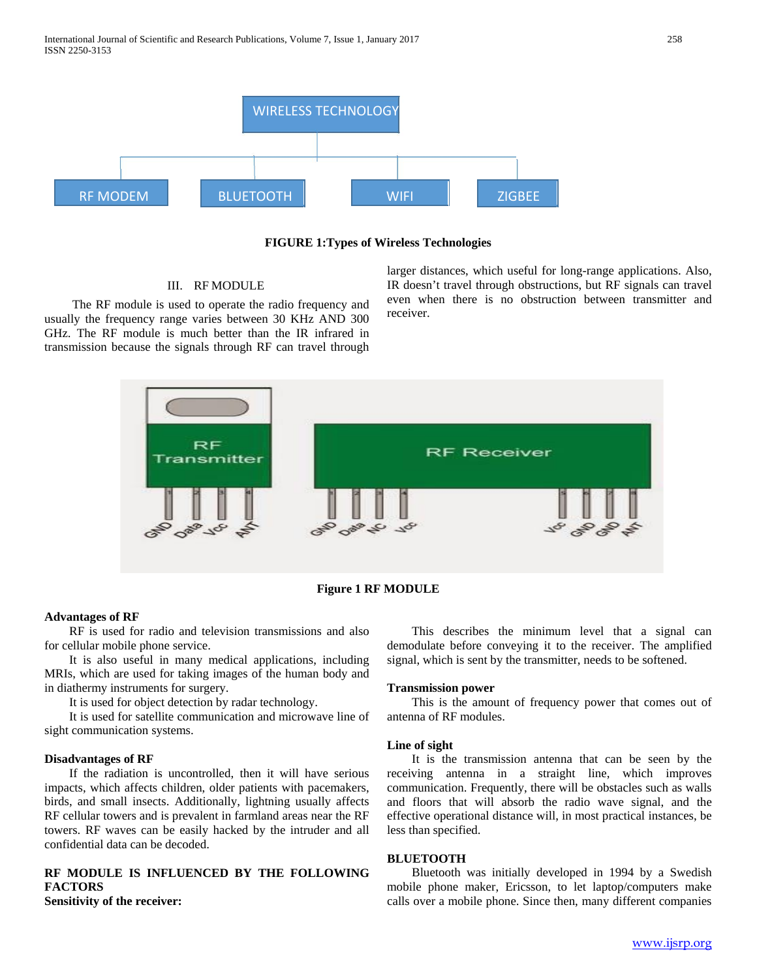

#### **FIGURE 1:Types of Wireless Technologies**

#### III. RF MODULE

 The RF module is used to operate the radio frequency and usually the frequency range varies between 30 KHz AND 300 GHz. The RF module is much better than the IR infrared in transmission because the signals through RF can travel through larger distances, which useful for long-range applications. Also, IR doesn't travel through obstructions, but RF signals can travel even when there is no obstruction between transmitter and receiver.



**Figure 1 RF MODULE**

# **Advantages of RF**

 RF is used for radio and television transmissions and also for cellular mobile phone service.

 It is also useful in many medical applications, including MRIs, which are used for taking images of the human body and in diathermy instruments for surgery.

It is used for object detection by radar technology.

 It is used for satellite communication and microwave line of sight communication systems.

#### **Disadvantages of RF**

 If the radiation is uncontrolled, then it will have serious impacts, which affects children, older patients with pacemakers, birds, and small insects. Additionally, lightning usually affects RF cellular towers and is prevalent in farmland areas near the RF towers. RF waves can be easily hacked by the intruder and all confidential data can be decoded.

# **RF MODULE IS INFLUENCED BY THE FOLLOWING FACTORS**

**Sensitivity of the receiver:**

 This describes the minimum level that a signal can demodulate before conveying it to the receiver. The amplified signal, which is sent by the transmitter, needs to be softened.

#### **Transmission power**

 This is the amount of frequency power that comes out of antenna of RF modules.

#### **Line of sight**

 It is the transmission antenna that can be seen by the receiving antenna in a straight line, which improves communication. Frequently, there will be obstacles such as walls and floors that will absorb the radio wave signal, and the effective operational distance will, in most practical instances, be less than specified.

#### **BLUETOOTH**

 Bluetooth was initially developed in 1994 by a Swedish mobile phone maker, Ericsson, to let laptop/computers make calls over a mobile phone. Since then, many different companies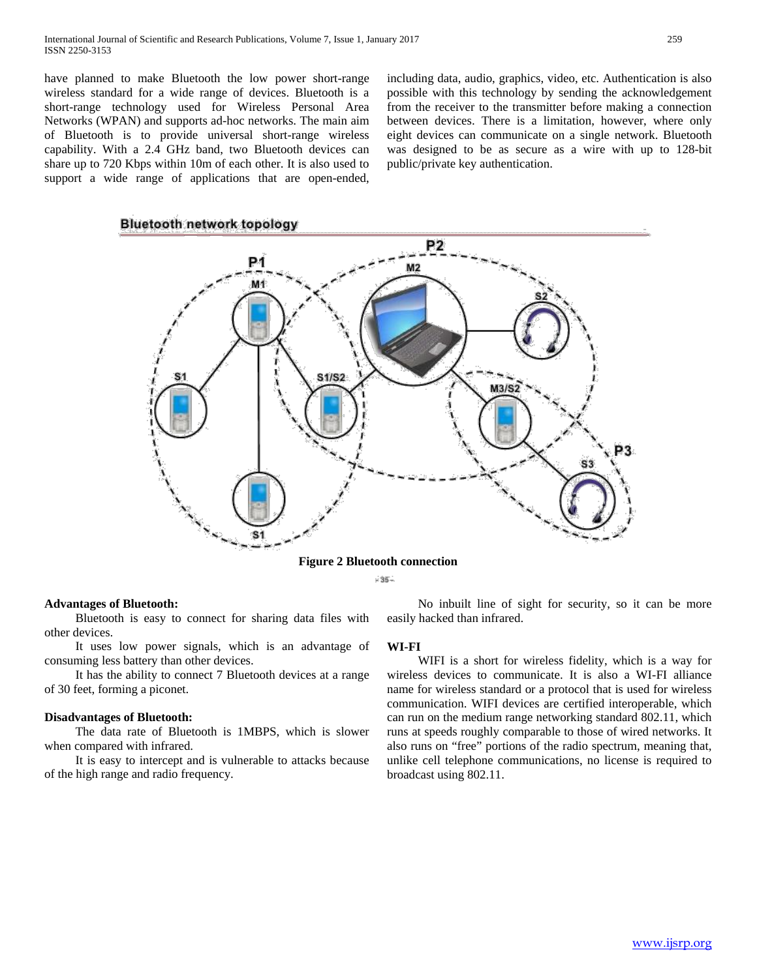have planned to make Bluetooth the low power short-range wireless standard for a wide range of devices. Bluetooth is a short-range technology used for Wireless Personal Area Networks (WPAN) and supports ad-hoc networks. The main aim of Bluetooth is to provide universal short-range wireless capability. With a 2.4 GHz band, two Bluetooth devices can share up to 720 Kbps within 10m of each other. It is also used to support a wide range of applications that are open-ended, including data, audio, graphics, video, etc. Authentication is also possible with this technology by sending the acknowledgement from the receiver to the transmitter before making a connection between devices. There is a limitation, however, where only eight devices can communicate on a single network. Bluetooth was designed to be as secure as a wire with up to 128-bit public/private key authentication.

# **Bluetooth network topology**



**Figure 2 Bluetooth connection**

 $-35 -$ 

#### **Advantages of Bluetooth:**

 Bluetooth is easy to connect for sharing data files with other devices.

 It uses low power signals, which is an advantage of consuming less battery than other devices.

 It has the ability to connect 7 Bluetooth devices at a range of 30 feet, forming a piconet.

#### **Disadvantages of Bluetooth:**

 The data rate of Bluetooth is 1MBPS, which is slower when compared with infrared.

 It is easy to intercept and is vulnerable to attacks because of the high range and radio frequency.

 No inbuilt line of sight for security, so it can be more easily hacked than infrared.

#### **WI-FI**

 WIFI is a short for wireless fidelity, which is a way for wireless devices to communicate. It is also a WI-FI alliance name for wireless standard or a protocol that is used for wireless communication. WIFI devices are certified interoperable, which can run on the medium range networking standard 802.11, which runs at speeds roughly comparable to those of wired networks. It also runs on "free" portions of the radio spectrum, meaning that, unlike cell telephone communications, no license is required to broadcast using 802.11.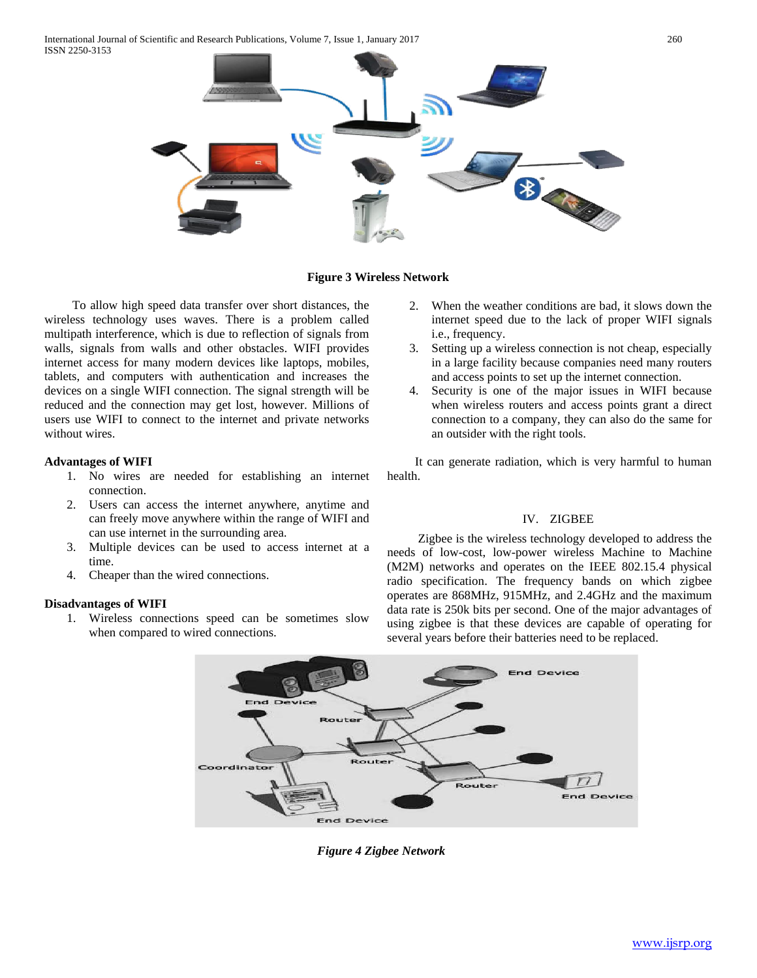International Journal of Scientific and Research Publications, Volume 7, Issue 1, January 2017 260 ISSN 2250-3153



#### **Figure 3 Wireless Network**

 To allow high speed data transfer over short distances, the wireless technology uses waves. There is a problem called multipath interference, which is due to reflection of signals from walls, signals from walls and other obstacles. WIFI provides internet access for many modern devices like laptops, mobiles, tablets, and computers with authentication and increases the devices on a single WIFI connection. The signal strength will be reduced and the connection may get lost, however. Millions of users use WIFI to connect to the internet and private networks without wires.

#### **Advantages of WIFI**

- 1. No wires are needed for establishing an internet connection.
- 2. Users can access the internet anywhere, anytime and can freely move anywhere within the range of WIFI and can use internet in the surrounding area.
- 3. Multiple devices can be used to access internet at a time.
- 4. Cheaper than the wired connections.

## **Disadvantages of WIFI**

1. Wireless connections speed can be sometimes slow when compared to wired connections.

- 2. When the weather conditions are bad, it slows down the internet speed due to the lack of proper WIFI signals i.e., frequency.
- 3. Setting up a wireless connection is not cheap, especially in a large facility because companies need many routers and access points to set up the internet connection.
- 4. Security is one of the major issues in WIFI because when wireless routers and access points grant a direct connection to a company, they can also do the same for an outsider with the right tools.

 It can generate radiation, which is very harmful to human health.

#### IV. ZIGBEE

 Zigbee is the wireless technology developed to address the needs of low-cost, low-power wireless Machine to Machine (M2M) networks and operates on the IEEE 802.15.4 physical radio specification. The frequency bands on which zigbee operates are 868MHz, 915MHz, and 2.4GHz and the maximum data rate is 250k bits per second. One of the major advantages of using zigbee is that these devices are capable of operating for several years before their batteries need to be replaced.



*Figure 4 Zigbee Network*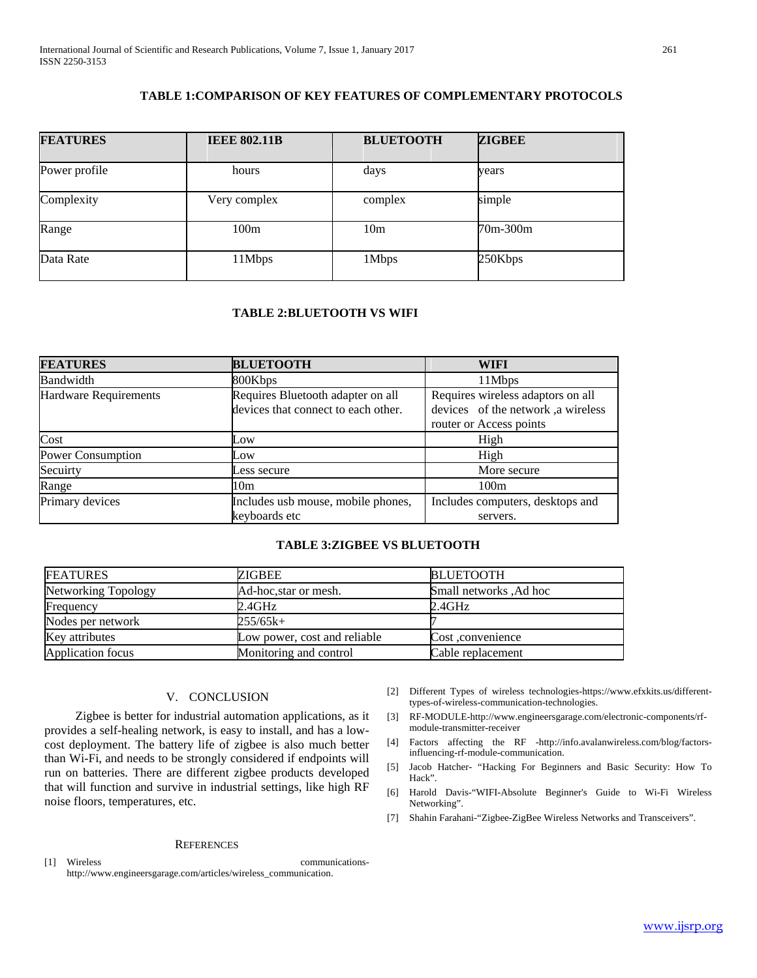# **TABLE 1:COMPARISON OF KEY FEATURES OF COMPLEMENTARY PROTOCOLS**

| <b>FEATURES</b> | <b>IEEE 802.11B</b> | <b>BLUETOOTH</b> | <b>ZIGBEE</b> |
|-----------------|---------------------|------------------|---------------|
| Power profile   | hours               | days             | years         |
| Complexity      | Very complex        | complex          | simple        |
| Range           | 100m                | 10 <sub>m</sub>  | 70m-300m      |
| Data Rate       | 11Mbps              | 1Mbps            | 250Kbps       |

# **TABLE 2:BLUETOOTH VS WIFI**

| <b>FEATURES</b>              | <b>BLUETOOTH</b>                                                         | WIFI                                                                                               |
|------------------------------|--------------------------------------------------------------------------|----------------------------------------------------------------------------------------------------|
| Bandwidth                    | 800Kbps                                                                  | 11Mbps                                                                                             |
| <b>Hardware Requirements</b> | Requires Bluetooth adapter on all<br>devices that connect to each other. | Requires wireless adaptors on all<br>devices of the network, a wireless<br>router or Access points |
| Cost                         | Low                                                                      | High                                                                                               |
| Power Consumption            | Low                                                                      | High                                                                                               |
| Secuirty                     | Less secure                                                              | More secure                                                                                        |
| Range                        | 10m                                                                      | 100m                                                                                               |
| Primary devices              | Includes usb mouse, mobile phones,<br>keyboards etc                      | Includes computers, desktops and<br>servers.                                                       |

## **TABLE 3:ZIGBEE VS BLUETOOTH**

| <b>FEATURES</b>     | ZIGBEE                       | BLUETOOTH               |
|---------------------|------------------------------|-------------------------|
| Networking Topology | Ad-hoc, star or mesh.        | Small networks , Ad hoc |
| Frequency           | 2.4GHz                       | 2.4GHz                  |
| Nodes per network   | 255/65k+                     |                         |
| Key attributes      | Low power, cost and reliable | Cost convenience        |
| Application focus   | Monitoring and control       | Cable replacement       |

# V. CONCLUSION

 Zigbee is better for industrial automation applications, as it provides a self-healing network, is easy to install, and has a lowcost deployment. The battery life of zigbee is also much better than Wi-Fi, and needs to be strongly considered if endpoints will run on batteries. There are different zigbee products developed that will function and survive in industrial settings, like high RF noise floors, temperatures, etc.

#### **REFERENCES**

[1] Wireless communicationshttp://www.engineersgarage.com/articles/wireless\_communication.

- [2] Different Types of wireless technologies-https://www.efxkits.us/differenttypes-of-wireless-communication-technologies.
- [3] RF-MODULE-http://www.engineersgarage.com/electronic-components/rfmodule-transmitter-receiver
- [4] Factors affecting the RF -http://info.avalanwireless.com/blog/factorsinfluencing-rf-module-communication.
- [5] Jacob Hatcher- "Hacking For Beginners and Basic Security: How To Hack".
- [6] Harold Davis-"WIFI-Absolute Beginner's Guide to Wi-Fi Wireless Networking".
- [7] Shahin Farahani-"Zigbee-ZigBee Wireless Networks and Transceivers".